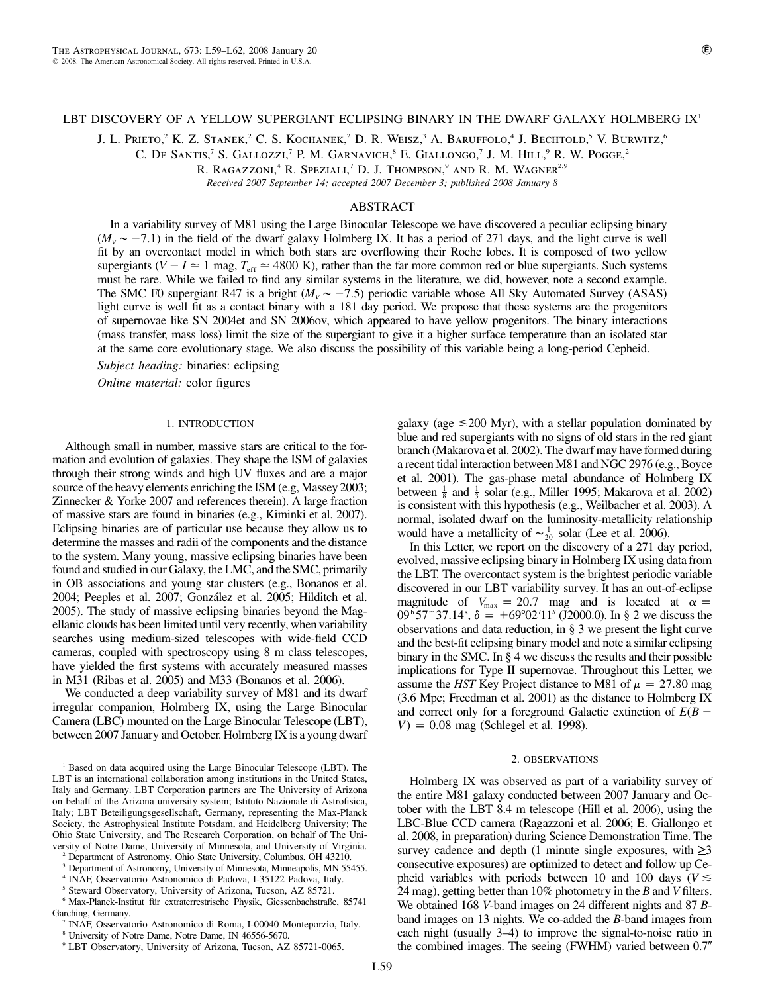## LBT DISCOVERY OF A YELLOW SUPERGIANT ECLIPSING BINARY IN THE DWARF GALAXY HOLMBERG  $\mathbf{K}^1$

J. L. Prieto,<sup>2</sup> K. Z. Stanek,<sup>2</sup> C. S. Kochanek,<sup>2</sup> D. R. Weisz,<sup>3</sup> A. Baruffolo,<sup>4</sup> J. Bechtold,<sup>5</sup> V. Burwitz,<sup>6</sup>

C. DE SANTIS,<sup>7</sup> S. GALLOZZI,<sup>7</sup> P. M. GARNAVICH,<sup>8</sup> E. GIALLONGO,<sup>7</sup> J. M. HILL,<sup>9</sup> R. W. Pogge,<sup>2</sup>

R. RAGAZZONI,<sup>4</sup> R. Speziali,<sup>7</sup> D. J. Thompson,<sup>9</sup> and R. M. Wagner<sup>2,9</sup>

*Received 2007 September 14; accepted 2007 December 3; published 2008 January 8*

## ABSTRACT

In a variability survey of M81 using the Large Binocular Telescope we have discovered a peculiar eclipsing binary ( $M<sub>V</sub>$  ∼ −7.1) in the field of the dwarf galaxy Holmberg IX. It has a period of 271 days, and the light curve is well fit by an overcontact model in which both stars are overflowing their Roche lobes. It is composed of two yellow supergiants ( $V - I \approx 1$  mag,  $T_{\text{eff}} \approx 4800$  K), rather than the far more common red or blue supergiants. Such systems must be rare. While we failed to find any similar systems in the literature, we did, however, note a second example. The SMC F0 supergiant R47 is a bright  $(M_v \sim -7.5)$  periodic variable whose All Sky Automated Survey (ASAS) light curve is well fit as a contact binary with a 181 day period. We propose that these systems are the progenitors of supernovae like SN 2004et and SN 2006ov, which appeared to have yellow progenitors. The binary interactions (mass transfer, mass loss) limit the size of the supergiant to give it a higher surface temperature than an isolated star at the same core evolutionary stage. We also discuss the possibility of this variable being a long-period Cepheid.

*Subject heading:* binaries: eclipsing

*Online material: color figures* 

#### 1. INTRODUCTION

Although small in number, massive stars are critical to the formation and evolution of galaxies. They shape the ISM of galaxies through their strong winds and high UV fluxes and are a major source of the heavy elements enriching the ISM (e.g, Massey 2003; Zinnecker & Yorke 2007 and references therein). A large fraction of massive stars are found in binaries (e.g., Kiminki et al. 2007). Eclipsing binaries are of particular use because they allow us to determine the masses and radii of the components and the distance to the system. Many young, massive eclipsing binaries have been found and studied in our Galaxy, the LMC, and the SMC, primarily in OB associations and young star clusters (e.g., Bonanos et al. 2004; Peeples et al. 2007; González et al. 2005; Hilditch et al. 2005). The study of massive eclipsing binaries beyond the Magellanic clouds has been limited until very recently, when variability searches using medium-sized telescopes with wide-field CCD cameras, coupled with spectroscopy using 8 m class telescopes, have yielded the first systems with accurately measured masses in M31 (Ribas et al. 2005) and M33 (Bonanos et al. 2006).

We conducted a deep variability survey of M81 and its dwarf irregular companion, Holmberg IX, using the Large Binocular Camera (LBC) mounted on the Large Binocular Telescope (LBT), between 2007 January and October. Holmberg IX is a young dwarf

<sup>1</sup> Based on data acquired using the Large Binocular Telescope (LBT). The LBT is an international collaboration among institutions in the United States, Italy and Germany. LBT Corporation partners are The University of Arizona on behalf of the Arizona university system; Istituto Nazionale di Astrofisica, Italy; LBT Beteiligungsgesellschaft, Germany, representing the Max-Planck Society, the Astrophysical Institute Potsdam, and Heidelberg University; The Ohio State University, and The Research Corporation, on behalf of The University of Notre Dame, University of Minnesota, and University of Virginia.

<sup>2</sup> Department of Astronomy, Ohio State University, Columbus, OH 43210.

<sup>3</sup> Department of Astronomy, University of Minnesota, Minneapolis, MN 55455.

<sup>4</sup> INAF, Osservatorio Astronomico di Padova, I-35122 Padova, Italy.

<sup>5</sup> Steward Observatory, University of Arizona, Tucson, AZ 85721.  $6$  Max-Planck-Institut für extraterrestrische Physik, Giessenbachstraße, 85741

Garching, Germany.

<sup>8</sup> University of Notre Dame, Notre Dame, IN 46556-5670.

galaxy (age  $\leq 200$  Myr), with a stellar population dominated by blue and red supergiants with no signs of old stars in the red giant branch (Makarova et al. 2002). The dwarf may have formed during a recent tidal interaction between M81 and NGC 2976 (e.g., Boyce et al. 2001). The gas-phase metal abundance of Holmberg IX between  $\frac{1}{8}$  and  $\frac{1}{3}$  solar (e.g., Miller 1995; Makarova et al. 2002) is consistent with this hypothesis (e.g., Weilbacher et al. 2003). A normal, isolated dwarf on the luminosity-metallicity relationship would have a metallicity of  $\sim \frac{1}{20}$  solar (Lee et al. 2006).

In this Letter, we report on the discovery of a 271 day period, evolved, massive eclipsing binary in Holmberg IX using data from the LBT. The overcontact system is the brightest periodic variable discovered in our LBT variability survey. It has an out-of-eclipse magnitude of  $V_{\text{max}} = 20.7$  mag and is located at  $\alpha =$  $09^{\text{h}}57^{\text{m}}37.14^{\text{s}}$ ,  $\delta = +69^{\circ}02'11''$  (J2000.0). In § 2 we discuss the observations and data reduction, in § 3 we present the light curve and the best-fit eclipsing binary model and note a similar eclipsing binary in the SMC. In § 4 we discuss the results and their possible implications for Type II supernovae. Throughout this Letter, we assume the *HST* Key Project distance to M81 of  $\mu = 27.80$  mag (3.6 Mpc; Freedman et al. 2001) as the distance to Holmberg IX and correct only for a foreground Galactic extinction of *E*(*B*  $V$ ) = 0.08 mag (Schlegel et al. 1998).

#### 2. OBSERVATIONS

Holmberg IX was observed as part of a variability survey of the entire M81 galaxy conducted between 2007 January and October with the LBT 8.4 m telescope (Hill et al. 2006), using the LBC-Blue CCD camera (Ragazzoni et al. 2006; E. Giallongo et al. 2008, in preparation) during Science Demonstration Time. The survey cadence and depth (1 minute single exposures, with  $\geq 3$ consecutive exposures) are optimized to detect and follow up Cepheid variables with periods between 10 and 100 days ( $V \leq$ 24 mag), getting better than 10% photometry in the *B* and *V* filters. We obtained 168 *V*-band images on 24 different nights and 87 *B*band images on 13 nights. We co-added the *B*-band images from each night (usually 3–4) to improve the signal-to-noise ratio in the combined images. The seeing (FWHM) varied between 0.7"

<sup>7</sup> INAF, Osservatorio Astronomico di Roma, I-00040 Monteporzio, Italy.

<sup>9</sup> LBT Observatory, University of Arizona, Tucson, AZ 85721-0065.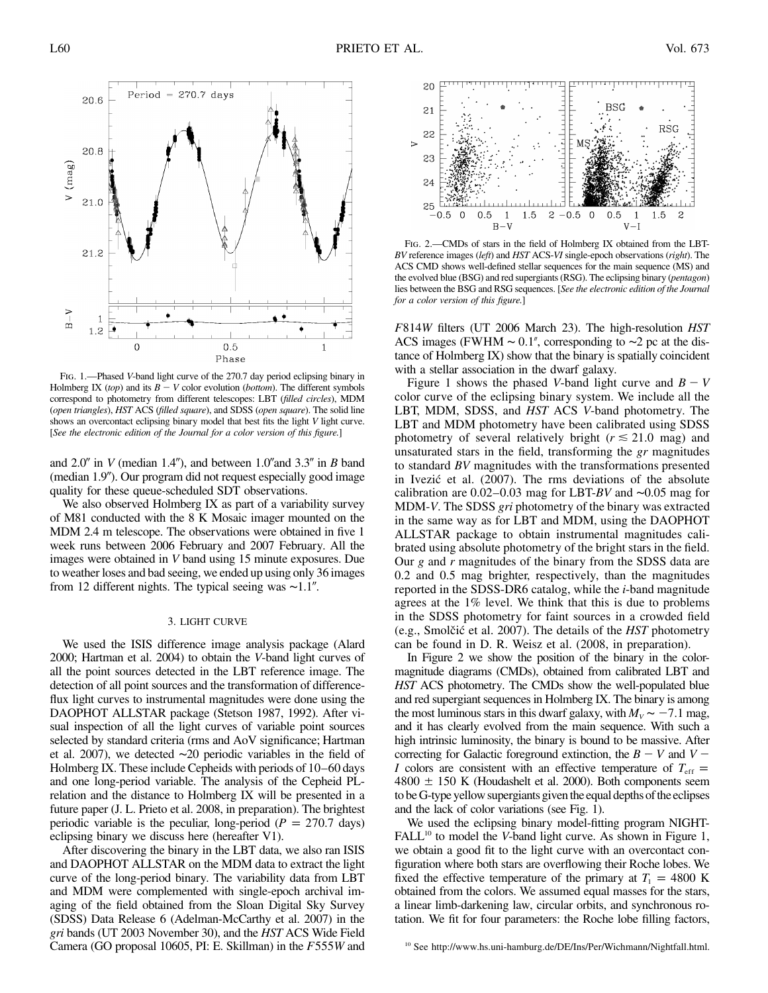

Fig. 1.—Phased *V*-band light curve of the 270.7 day period eclipsing binary in Holmberg IX (*top*) and its  $B - V$  color evolution (*bottom*). The different symbols correspond to photometry from different telescopes: LBT (*filled circles*), MDM (*open triangles*), *HST* ACS (*filled square*), and SDSS (*open square*). The solid line shows an overcontact eclipsing binary model that best fits the light *V* light curve. [*See the electronic edition of the Journal for a color version of this figure.*]

and  $2.0''$  in *V* (median 1.4"), and between  $1.0''$  and  $3.3''$  in *B* band (median 1.9"). Our program did not request especially good image quality for these queue-scheduled SDT observations.

We also observed Holmberg IX as part of a variability survey of M81 conducted with the 8 K Mosaic imager mounted on the MDM 2.4 m telescope. The observations were obtained in five 1 week runs between 2006 February and 2007 February. All the images were obtained in *V* band using 15 minute exposures. Due to weather loses and bad seeing, we ended up using only 36 images from 12 different nights. The typical seeing was ~1.1".

## 3. LIGHT CURVE

We used the ISIS difference image analysis package (Alard 2000; Hartman et al. 2004) to obtain the *V*-band light curves of all the point sources detected in the LBT reference image. The detection of all point sources and the transformation of differenceflux light curves to instrumental magnitudes were done using the DAOPHOT ALLSTAR package (Stetson 1987, 1992). After visual inspection of all the light curves of variable point sources selected by standard criteria (rms and AoV significance; Hartman et al. 2007), we detected ∼20 periodic variables in the field of Holmberg IX. These include Cepheids with periods of  $10-60$  days and one long-period variable. The analysis of the Cepheid PLrelation and the distance to Holmberg IX will be presented in a future paper (J. L. Prieto et al. 2008, in preparation). The brightest periodic variable is the peculiar, long-period  $(P = 270.7 \text{ days})$ eclipsing binary we discuss here (hereafter V1).

After discovering the binary in the LBT data, we also ran ISIS and DAOPHOT ALLSTAR on the MDM data to extract the light curve of the long-period binary. The variability data from LBT and MDM were complemented with single-epoch archival imaging of the field obtained from the Sloan Digital Sky Survey (SDSS) Data Release 6 (Adelman-McCarthy et al. 2007) in the *gri* bands (UT 2003 November 30), and the *HST* ACS Wide Field Camera (GO proposal 10605, PI: E. Skillman) in the  $F555W$  and



Fig. 2.—CMDs of stars in the field of Holmberg IX obtained from the LBT-*BV* reference images (*left*) and *HST* ACS-*VI* single-epoch observations (*right*). The ACS CMD shows well-defined stellar sequences for the main sequence (MS) and the evolved blue (BSG) and red supergiants (RSG). The eclipsing binary (*pentagon*) lies between the BSG and RSG sequences. [*See the electronic edition of the Journal for a color version of this figure.*]

*F*814*W* filters (UT 2006 March 23). The high-resolution *HST* ACS images (FWHM ∼ 0.1", corresponding to ~2 pc at the distance of Holmberg IX) show that the binary is spatially coincident with a stellar association in the dwarf galaxy.

Figure 1 shows the phased *V*-band light curve and  $B - V$ color curve of the eclipsing binary system. We include all the LBT, MDM, SDSS, and *HST* ACS *V*-band photometry. The LBT and MDM photometry have been calibrated using SDSS photometry of several relatively bright ( $r \le 21.0$  mag) and unsaturated stars in the field, transforming the *gr* magnitudes to standard *BV* magnitudes with the transformations presented in Ivezić et al. (2007). The rms deviations of the absolute calibration are 0.02–0.03 mag for LBT-BV and ∼0.05 mag for MDM-*V*. The SDSS *gri* photometry of the binary was extracted in the same way as for LBT and MDM, using the DAOPHOT ALLSTAR package to obtain instrumental magnitudes calibrated using absolute photometry of the bright stars in the field. Our *g* and *r* magnitudes of the binary from the SDSS data are 0.2 and 0.5 mag brighter, respectively, than the magnitudes reported in the SDSS-DR6 catalog, while the *i*-band magnitude agrees at the 1% level. We think that this is due to problems in the SDSS photometry for faint sources in a crowded field (e.g., Smolčić et al. 2007). The details of the *HST* photometry can be found in D. R. Weisz et al. (2008, in preparation).

In Figure 2 we show the position of the binary in the colormagnitude diagrams (CMDs), obtained from calibrated LBT and *HST* ACS photometry. The CMDs show the well-populated blue and red supergiant sequences in Holmberg IX. The binary is among the most luminous stars in this dwarf galaxy, with  $M_V \sim -7.1$  mag, and it has clearly evolved from the main sequence. With such a high intrinsic luminosity, the binary is bound to be massive. After correcting for Galactic foreground extinction, the  $B - V$  and  $V -$ *I* colors are consistent with an effective temperature of  $T_{\text{eff}} =$  $4800 \pm 150$  K (Houdashelt et al. 2000). Both components seem to be G-type yellow supergiants given the equal depths of the eclipses and the lack of color variations (see Fig. 1).

We used the eclipsing binary model-fitting program NIGHT-FALL<sup>10</sup> to model the *V*-band light curve. As shown in Figure 1, we obtain a good fit to the light curve with an overcontact configuration where both stars are overflowing their Roche lobes. We fixed the effective temperature of the primary at  $T_1 = 4800$  K obtained from the colors. We assumed equal masses for the stars, a linear limb-darkening law, circular orbits, and synchronous rotation. We fit for four parameters: the Roche lobe filling factors,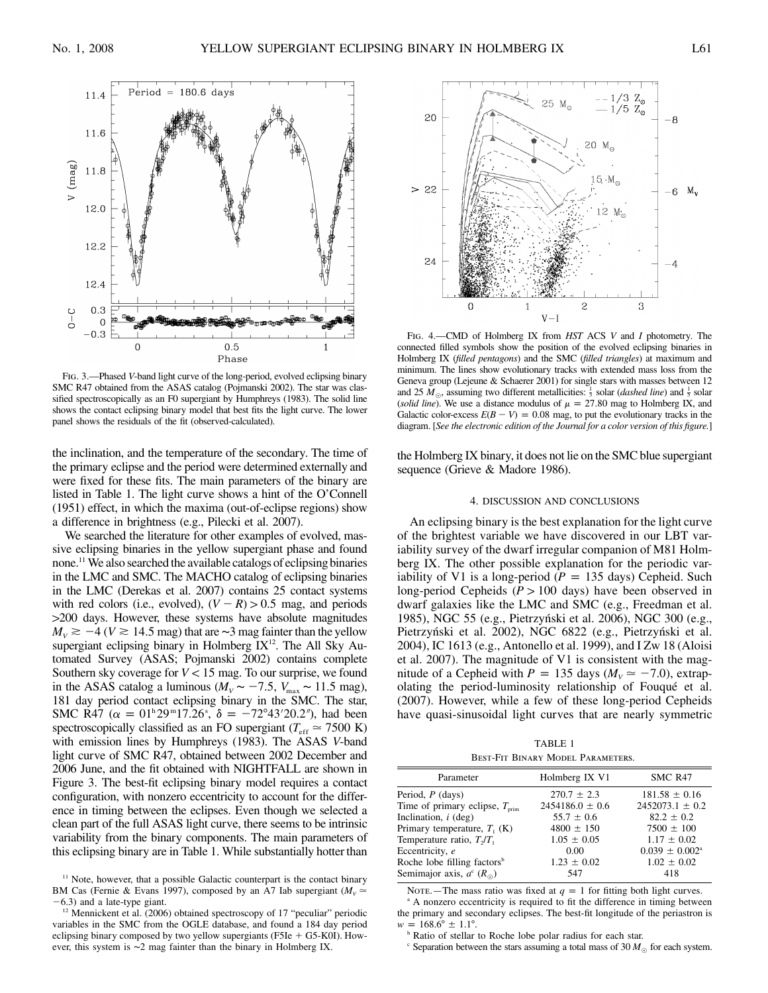

Fig. 3.—Phased *V*-band light curve of the long-period, evolved eclipsing binary SMC R47 obtained from the ASAS catalog (Pojmanski 2002). The star was classified spectroscopically as an F0 supergiant by Humphreys (1983). The solid line shows the contact eclipsing binary model that best fits the light curve. The lower panel shows the residuals of the fit (observed-calculated).

the inclination, and the temperature of the secondary. The time of the primary eclipse and the period were determined externally and were fixed for these fits. The main parameters of the binary are listed in Table 1. The light curve shows a hint of the O'Connell (1951) effect, in which the maxima (out-of-eclipse regions) show a difference in brightness (e.g., Pilecki et al. 2007).

We searched the literature for other examples of evolved, massive eclipsing binaries in the yellow supergiant phase and found none.<sup>11</sup> We also searched the available catalogs of eclipsing binaries in the LMC and SMC. The MACHO catalog of eclipsing binaries in the LMC (Derekas et al. 2007) contains 25 contact systems with red colors (i.e., evolved),  $(V - R) > 0.5$  mag, and periods 1200 days. However, these systems have absolute magnitudes  $M_v \ge -4$  ( $V \ge 14.5$  mag) that are ~3 mag fainter than the yellow supergiant eclipsing binary in Holmberg  $IX<sup>12</sup>$ . The All Sky Automated Survey (ASAS; Pojmanski 2002) contains complete Southern sky coverage for  $V < 15$  mag. To our surprise, we found in the ASAS catalog a luminous ( $M_V \sim -7.5$ ,  $V_{\text{max}} \sim 11.5$  mag), 181 day period contact eclipsing binary in the SMC. The star, SMC R47 ( $\alpha = 01^{\text{h}}29^{\text{m}}17.26^{\text{s}}$ ,  $\delta = -72^{\circ}43'20.2'$ ), had been spectroscopically classified as an FO supergiant ( $T_{\text{eff}} \approx 7500 \text{ K}$ ) with emission lines by Humphreys (1983). The ASAS *V*-band light curve of SMC R47, obtained between 2002 December and 2006 June, and the fit obtained with NIGHTFALL are shown in Figure 3. The best-fit eclipsing binary model requires a contact configuration, with nonzero eccentricity to account for the difference in timing between the eclipses. Even though we selected a clean part of the full ASAS light curve, there seems to be intrinsic variability from the binary components. The main parameters of this eclipsing binary are in Table 1. While substantially hotter than



 $12$  Mennickent et al. (2006) obtained spectroscopy of 17 "peculiar" periodic variables in the SMC from the OGLE database, and found a 184 day period eclipsing binary composed by two yellow supergiants  $(F5Ie + G5-K0I)$ . However, this system is ∼2 mag fainter than the binary in Holmberg IX.



Fig. 4.—CMD of Holmberg IX from *HST* ACS *V* and *I* photometry. The connected filled symbols show the position of the evolved eclipsing binaries in Holmberg IX (*filled pentagons*) and the SMC (*filled triangles*) at maximum and minimum. The lines show evolutionary tracks with extended mass loss from the Geneva group (Lejeune & Schaerer 2001) for single stars with masses between 12 and 25  $M_{\odot}$ , assuming two different metallicities:  $\frac{1}{3}$  solar (*dashed line*) and  $\frac{1}{5}$  solar (*solid line*). We use a distance modulus of  $\mu = 27.80$  mag to Holmberg IX, and Galactic color-excess  $E(B - V) = 0.08$  mag, to put the evolutionary tracks in the diagram. [*See the electronic edition of the Journal for a color version of this figure.*]

the Holmberg IX binary, it does not lie on the SMC blue supergiant sequence (Grieve & Madore 1986).

# 4. DISCUSSION AND CONCLUSIONS

An eclipsing binary is the best explanation for the light curve of the brightest variable we have discovered in our LBT variability survey of the dwarf irregular companion of M81 Holmberg IX. The other possible explanation for the periodic variability of V1 is a long-period ( $P = 135$  days) Cepheid. Such long-period Cepheids ( $P > 100$  days) have been observed in dwarf galaxies like the LMC and SMC (e.g., Freedman et al. 1985), NGC 55 (e.g., Pietrzyński et al. 2006), NGC 300 (e.g., Pietrzyński et al. 2002), NGC 6822 (e.g., Pietrzyński et al. 2004), IC 1613 (e.g., Antonello et al. 1999), and I Zw 18 (Aloisi et al. 2007). The magnitude of V1 is consistent with the magnitude of a Cepheid with  $P = 135$  days ( $M_V \approx -7.0$ ), extrapolating the period-luminosity relationship of Fouqué et al. (2007). However, while a few of these long-period Cepheids have quasi-sinusoidal light curves that are nearly symmetric

TABLE 1 Best-Fit Binary Model Parameters.

| Parameter                                  | Holmberg IX V1      | SMC R47                      |
|--------------------------------------------|---------------------|------------------------------|
| Period, $P$ (days)                         | $270.7 \pm 2.3$     | $181.58 \pm 0.16$            |
| Time of primary eclipse, $T_{\text{prim}}$ | $2454186.0 \pm 0.6$ | $2452073.1 \pm 0.2$          |
| Inclination, $i$ (deg)                     | $55.7 \pm 0.6$      | $82.2 \pm 0.2$               |
| Primary temperature, $T_1$ (K)             | $4800 \pm 150$      | $7500 \pm 100$               |
| Temperature ratio, $T_2/T_1$               | $1.05 \pm 0.05$     | $1.17 \pm 0.02$              |
| Eccentricity, e                            | 0.00                | $0.039 \pm 0.002^{\text{a}}$ |
| Roche lobe filling factors <sup>b</sup>    | $1.23 \pm 0.02$     | $1.02 \pm 0.02$              |
| Semimajor axis, $a^{c}$ ( $R_{\odot}$ )    | 547                 | 418                          |
|                                            |                     |                              |

Note.—The mass ratio was fixed at  $q = 1$  for fitting both light curves. *q*  $\alpha$  a A nonzero eccentricity is required to fit the difference in timing between

the primary and secondary eclipses. The best-fit longitude of the periastron is

 $w = 168.6^{\circ} \pm 1.1^{\circ}.$ **b** Ratio of stellar to Roche lobe polar radius for each star.

 $\textdegree$  Separation between the stars assuming a total mass of 30  $M_{\odot}$  for each system.